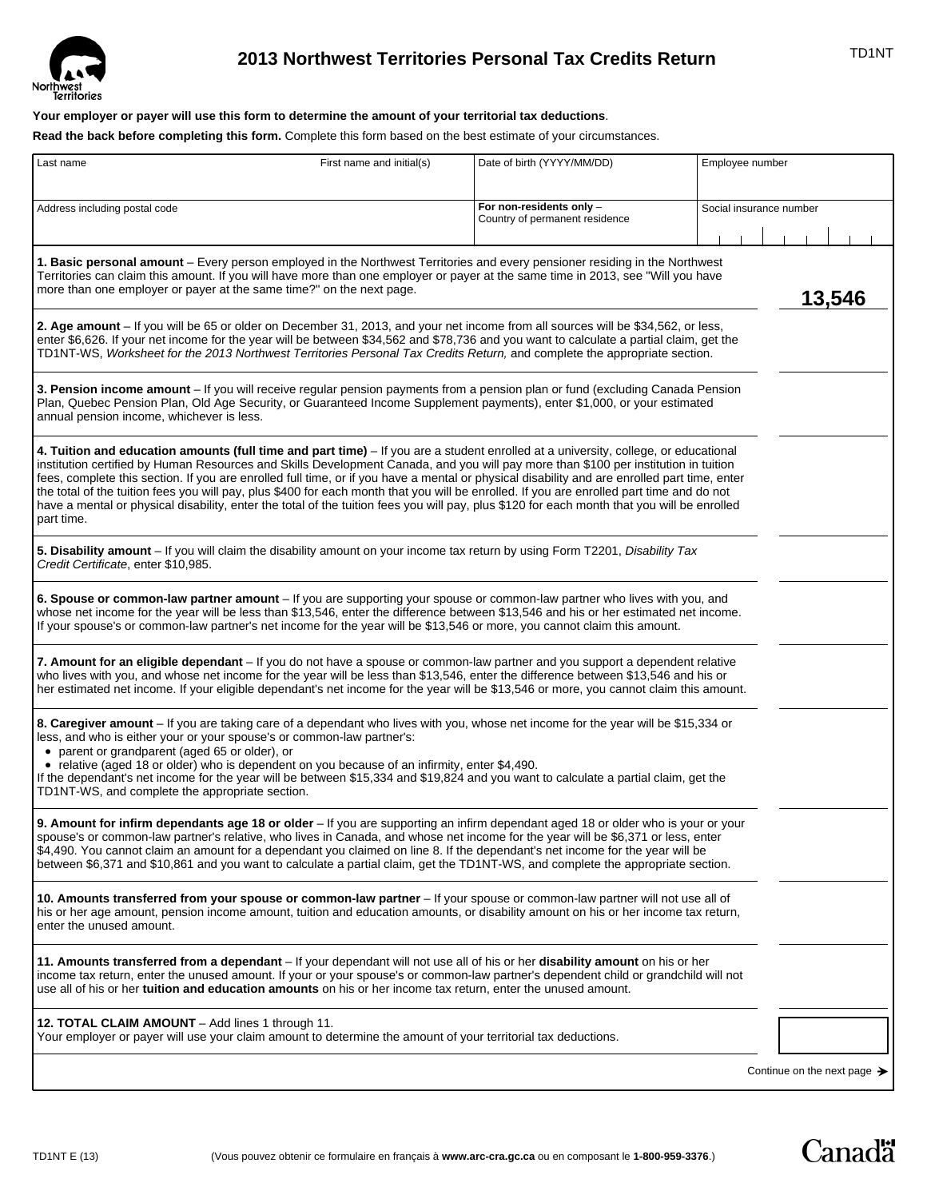

# TD1NT **2013 Northwest Territories Personal Tax Credits Return**

## **Your employer or payer will use this form to determine the amount of your territorial tax deductions**.

**Read the back before completing this form.** Complete this form based on the best estimate of your circumstances.

| Last name                                                                                                                                                                                                                                                                                                                                                                                                                                                                                                                                                                                                                                                                                                                            | First name and initial(s) | Date of birth (YYYY/MM/DD)                                 | Employee number |                         |  |
|--------------------------------------------------------------------------------------------------------------------------------------------------------------------------------------------------------------------------------------------------------------------------------------------------------------------------------------------------------------------------------------------------------------------------------------------------------------------------------------------------------------------------------------------------------------------------------------------------------------------------------------------------------------------------------------------------------------------------------------|---------------------------|------------------------------------------------------------|-----------------|-------------------------|--|
|                                                                                                                                                                                                                                                                                                                                                                                                                                                                                                                                                                                                                                                                                                                                      |                           |                                                            |                 |                         |  |
| Address including postal code                                                                                                                                                                                                                                                                                                                                                                                                                                                                                                                                                                                                                                                                                                        |                           | For non-residents only -<br>Country of permanent residence |                 | Social insurance number |  |
|                                                                                                                                                                                                                                                                                                                                                                                                                                                                                                                                                                                                                                                                                                                                      |                           |                                                            |                 |                         |  |
| 1. Basic personal amount – Every person employed in the Northwest Territories and every pensioner residing in the Northwest<br>Territories can claim this amount. If you will have more than one employer or payer at the same time in 2013, see "Will you have<br>more than one employer or payer at the same time?" on the next page.                                                                                                                                                                                                                                                                                                                                                                                              |                           |                                                            |                 | 13,546                  |  |
| 2. Age amount - If you will be 65 or older on December 31, 2013, and your net income from all sources will be \$34,562, or less,<br>enter \$6,626. If your net income for the year will be between \$34,562 and \$78,736 and you want to calculate a partial claim, get the<br>TD1NT-WS, Worksheet for the 2013 Northwest Territories Personal Tax Credits Return, and complete the appropriate section.                                                                                                                                                                                                                                                                                                                             |                           |                                                            |                 |                         |  |
| 3. Pension income amount – If you will receive regular pension payments from a pension plan or fund (excluding Canada Pension<br>Plan, Quebec Pension Plan, Old Age Security, or Guaranteed Income Supplement payments), enter \$1,000, or your estimated<br>annual pension income, whichever is less.                                                                                                                                                                                                                                                                                                                                                                                                                               |                           |                                                            |                 |                         |  |
| 4. Tuition and education amounts (full time and part time) – If you are a student enrolled at a university, college, or educational<br>institution certified by Human Resources and Skills Development Canada, and you will pay more than \$100 per institution in tuition<br>fees, complete this section. If you are enrolled full time, or if you have a mental or physical disability and are enrolled part time, enter<br>the total of the tuition fees you will pay, plus \$400 for each month that you will be enrolled. If you are enrolled part time and do not<br>have a mental or physical disability, enter the total of the tuition fees you will pay, plus \$120 for each month that you will be enrolled<br>part time. |                           |                                                            |                 |                         |  |
| 5. Disability amount – If you will claim the disability amount on your income tax return by using Form T2201, Disability Tax<br>Credit Certificate, enter \$10,985.                                                                                                                                                                                                                                                                                                                                                                                                                                                                                                                                                                  |                           |                                                            |                 |                         |  |
| 6. Spouse or common-law partner amount – If you are supporting your spouse or common-law partner who lives with you, and<br>whose net income for the year will be less than \$13,546, enter the difference between \$13,546 and his or her estimated net income.<br>If your spouse's or common-law partner's net income for the year will be \$13,546 or more, you cannot claim this amount.                                                                                                                                                                                                                                                                                                                                         |                           |                                                            |                 |                         |  |
| 7. Amount for an eligible dependant – If you do not have a spouse or common-law partner and you support a dependent relative<br>who lives with you, and whose net income for the year will be less than \$13,546, enter the difference between \$13,546 and his or<br>her estimated net income. If your eligible dependant's net income for the year will be \$13,546 or more, you cannot claim this amount.                                                                                                                                                                                                                                                                                                                         |                           |                                                            |                 |                         |  |
| 8. Caregiver amount – If you are taking care of a dependant who lives with you, whose net income for the year will be \$15,334 or<br>less, and who is either your or your spouse's or common-law partner's:<br>• parent or grandparent (aged 65 or older), or<br>• relative (aged 18 or older) who is dependent on you because of an infirmity, enter \$4,490.<br>If the dependant's net income for the year will be between \$15,334 and \$19,824 and you want to calculate a partial claim, get the<br>TD1NT-WS, and complete the appropriate section.                                                                                                                                                                             |                           |                                                            |                 |                         |  |
| 9. Amount for infirm dependants age 18 or older - If you are supporting an infirm dependant aged 18 or older who is your or your<br>spouse's or common-law partner's relative, who lives in Canada, and whose net income for the year will be \$6,371 or less, enter<br>\$4,490. You cannot claim an amount for a dependant you claimed on line 8. If the dependant's net income for the year will be<br>between \$6,371 and \$10,861 and you want to calculate a partial claim, get the TD1NT-WS, and complete the appropriate section.                                                                                                                                                                                             |                           |                                                            |                 |                         |  |
| 10. Amounts transferred from your spouse or common-law partner – If your spouse or common-law partner will not use all of<br>his or her age amount, pension income amount, tuition and education amounts, or disability amount on his or her income tax return,<br>enter the unused amount.                                                                                                                                                                                                                                                                                                                                                                                                                                          |                           |                                                            |                 |                         |  |
| 11. Amounts transferred from a dependant – If your dependant will not use all of his or her disability amount on his or her<br>income tax return, enter the unused amount. If your or your spouse's or common-law partner's dependent child or grandchild will not<br>use all of his or her <b>tuition and education amounts</b> on his or her income tax return, enter the unused amount.                                                                                                                                                                                                                                                                                                                                           |                           |                                                            |                 |                         |  |
| 12. TOTAL CLAIM AMOUNT - Add lines 1 through 11.<br>Your employer or payer will use your claim amount to determine the amount of your territorial tax deductions.                                                                                                                                                                                                                                                                                                                                                                                                                                                                                                                                                                    |                           |                                                            |                 |                         |  |
|                                                                                                                                                                                                                                                                                                                                                                                                                                                                                                                                                                                                                                                                                                                                      |                           |                                                            |                 |                         |  |

Continue on the next page  $\rightarrow$ 

**Canadä**